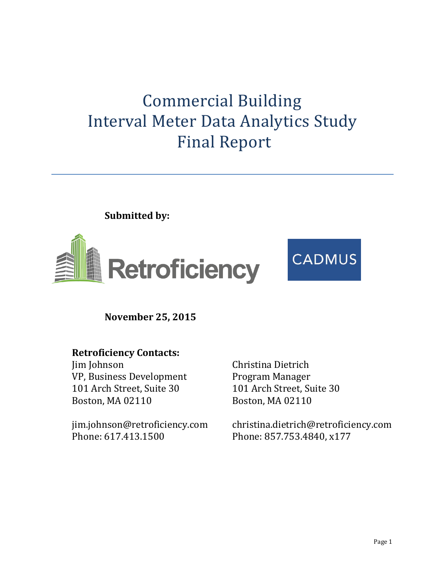# Commercial Building Interval Meter Data Analytics Study Final Report

**Submitted by:** 



**November 25, 2015**

## **Retroficiency Contacts:**

Jim Johnson VP, Business Development 101 Arch Street, Suite 30 Boston, MA 02110

jim.johnson@retroficiency.com Phone: 617.413.1500

Christina Dietrich Program Manager 101 Arch Street, Suite 30 Boston, MA 02110

christina.dietrich@retroficiency.com Phone: 857.753.4840, x177

**CADMUS**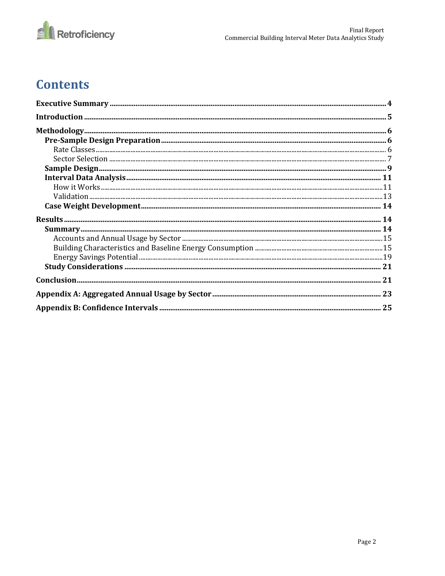

# **Contents**

| $\bf Validation  \,  \,  \,  \,  \, 13$ |  |
|-----------------------------------------|--|
|                                         |  |
|                                         |  |
|                                         |  |
|                                         |  |
|                                         |  |
|                                         |  |
|                                         |  |
|                                         |  |
|                                         |  |
|                                         |  |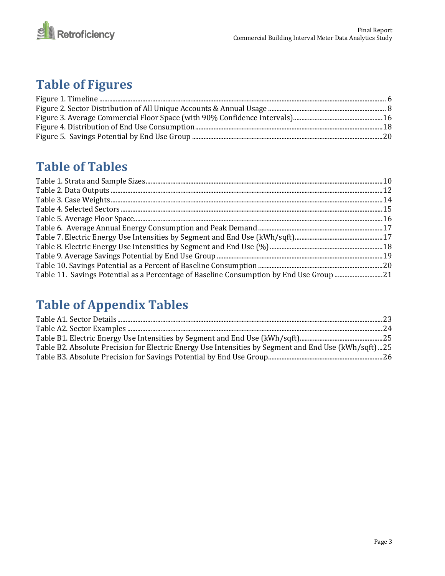

# **Table of Figures**

## **Table of Tables**

| Table 11. Savings Potential as a Percentage of Baseline Consumption by End Use Group 21 |  |
|-----------------------------------------------------------------------------------------|--|

# **Table of Appendix Tables**

| Table B2. Absolute Precision for Electric Energy Use Intensities by Segment and End Use (kWh/sqft)25 |  |
|------------------------------------------------------------------------------------------------------|--|
|                                                                                                      |  |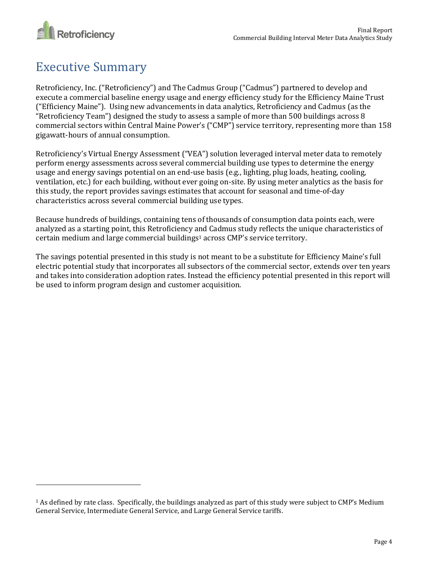

 $\overline{a}$ 

# <span id="page-3-0"></span>Executive Summary

Retroficiency, Inc. ("Retroficiency") and The Cadmus Group ("Cadmus") partnered to develop and execute a commercial baseline energy usage and energy efficiency study for the Efficiency Maine Trust ("Efficiency Maine"). Using new advancements in data analytics, Retroficiency and Cadmus (as the "Retroficiency Team") designed the study to assess a sample of more than 500 buildings across 8 commercial sectors within Central Maine Power's ("CMP") service territory, representing more than 158 gigawatt-hours of annual consumption.

Retroficiency's Virtual Energy Assessment ("VEA") solution leveraged interval meter data to remotely perform energy assessments across several commercial building use types to determine the energy usage and energy savings potential on an end-use basis (e.g., lighting, plug loads, heating, cooling, ventilation, etc.) for each building, without ever going on-site. By using meter analytics as the basis for this study, the report provides savings estimates that account for seasonal and time-of-day characteristics across several commercial building use types.

Because hundreds of buildings, containing tens of thousands of consumption data points each, were analyzed as a starting point, this Retroficiency and Cadmus study reflects the unique characteristics of certain medium and large commercial buildings<sup>1</sup> across CMP's service territory.

The savings potential presented in this study is not meant to be a substitute for Efficiency Maine's full electric potential study that incorporates all subsectors of the commercial sector, extends over ten years and takes into consideration adoption rates. Instead the efficiency potential presented in this report will be used to inform program design and customer acquisition.

<sup>1</sup> As defined by rate class. Specifically, the buildings analyzed as part of this study were subject to CMP's Medium General Service, Intermediate General Service, and Large General Service tariffs.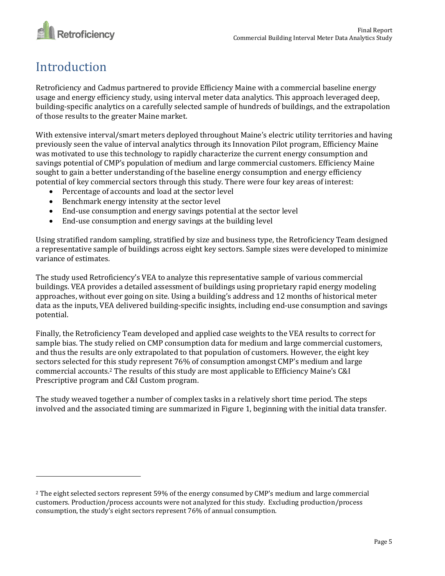

# <span id="page-4-0"></span>Introduction

 $\overline{a}$ 

Retroficiency and Cadmus partnered to provide Efficiency Maine with a commercial baseline energy usage and energy efficiency study, using interval meter data analytics. This approach leveraged deep, building-specific analytics on a carefully selected sample of hundreds of buildings, and the extrapolation of those results to the greater Maine market.

With extensive interval/smart meters deployed throughout Maine's electric utility territories and having previously seen the value of interval analytics through its Innovation Pilot program, Efficiency Maine was motivated to use this technology to rapidly characterize the current energy consumption and savings potential of CMP's population of medium and large commercial customers. Efficiency Maine sought to gain a better understanding of the baseline energy consumption and energy efficiency potential of key commercial sectors through this study. There were four key areas of interest:

- Percentage of accounts and load at the sector level
- Benchmark energy intensity at the sector level
- End-use consumption and energy savings potential at the sector level
- End-use consumption and energy savings at the building level

Using stratified random sampling, stratified by size and business type, the Retroficiency Team designed a representative sample of buildings across eight key sectors. Sample sizes were developed to minimize variance of estimates.

The study used Retroficiency's VEA to analyze this representative sample of various commercial buildings. VEA provides a detailed assessment of buildings using proprietary rapid energy modeling approaches, without ever going on site. Using a building's address and 12 months of historical meter data as the inputs, VEA delivered building-specific insights, including end-use consumption and savings potential.

Finally, the Retroficiency Team developed and applied case weights to the VEA results to correct for sample bias. The study relied on CMP consumption data for medium and large commercial customers, and thus the results are only extrapolated to that population of customers. However, the eight key sectors selected for this study represent 76% of consumption amongst CMP's medium and large commercial accounts. <sup>2</sup> The results of this study are most applicable to Efficiency Maine's C&I Prescriptive program and C&I Custom program.

The study weaved together a number of complex tasks in a relatively short time period. The steps involved and the associated timing are summarized in Figure 1, beginning with the initial data transfer.

<sup>2</sup> The eight selected sectors represent 59% of the energy consumed by CMP's medium and large commercial customers. Production/process accounts were not analyzed for this study. Excluding production/process consumption, the study's eight sectors represent 76% of annual consumption.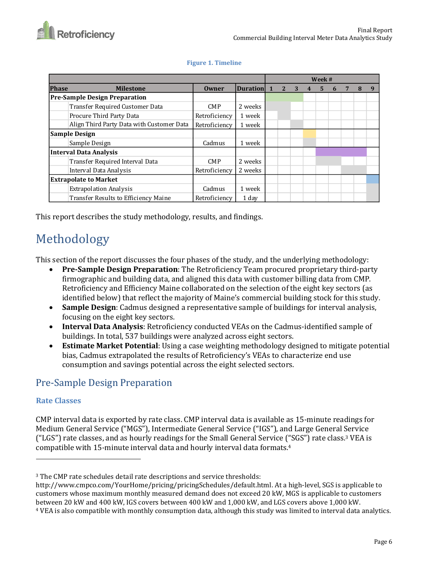|                               |                                           | Week #        |                 |                |   |  |    |   |  |   |   |
|-------------------------------|-------------------------------------------|---------------|-----------------|----------------|---|--|----|---|--|---|---|
| <b>Phase</b>                  | <b>Milestone</b>                          | <b>Owner</b>  | <b>Duration</b> | $\overline{2}$ | 3 |  | 5. | 6 |  | 8 | q |
|                               | <b>Pre-Sample Design Preparation</b>      |               |                 |                |   |  |    |   |  |   |   |
|                               | Transfer Required Customer Data           | <b>CMP</b>    | 2 weeks         |                |   |  |    |   |  |   |   |
|                               | Procure Third Party Data                  | Retroficiency | 1 week          |                |   |  |    |   |  |   |   |
|                               | Align Third Party Data with Customer Data | Retroficiency | 1 week          |                |   |  |    |   |  |   |   |
| <b>Sample Design</b>          |                                           |               |                 |                |   |  |    |   |  |   |   |
|                               | Sample Design                             | Cadmus        | 1 week          |                |   |  |    |   |  |   |   |
|                               | Interval Data Analysis                    |               |                 |                |   |  |    |   |  |   |   |
|                               | Transfer Required Interval Data           | <b>CMP</b>    | 2 weeks         |                |   |  |    |   |  |   |   |
| Interval Data Analysis        |                                           | Retroficiency | 2 weeks         |                |   |  |    |   |  |   |   |
| <b>Extrapolate to Market</b>  |                                           |               |                 |                |   |  |    |   |  |   |   |
| <b>Extrapolation Analysis</b> |                                           | Cadmus        | 1 week          |                |   |  |    |   |  |   |   |
|                               | Transfer Results to Efficiency Maine      | Retroficiency | 1 day           |                |   |  |    |   |  |   |   |

### **Figure 1. Timeline**

This report describes the study methodology, results, and findings.

# <span id="page-5-0"></span>Methodology

This section of the report discusses the four phases of the study, and the underlying methodology:

- **Pre-Sample Design Preparation**: The Retroficiency Team procured proprietary third-party firmographic and building data, and aligned this data with customer billing data from CMP. Retroficiency and Efficiency Maine collaborated on the selection of the eight key sectors (as identified below) that reflect the majority of Maine's commercial building stock for this study.
- **Sample Design**: Cadmus designed a representative sample of buildings for interval analysis, focusing on the eight key sectors.
- **Interval Data Analysis**: Retroficiency conducted VEAs on the Cadmus-identified sample of buildings. In total, 537 buildings were analyzed across eight sectors.
- **Estimate Market Potential**: Using a case weighting methodology designed to mitigate potential bias, Cadmus extrapolated the results of Retroficiency's VEAs to characterize end use consumption and savings potential across the eight selected sectors.

## <span id="page-5-1"></span>Pre-Sample Design Preparation

## <span id="page-5-2"></span>**Rate Classes**

 $\overline{\phantom{0}}$ 

CMP interval data is exported by rate class. CMP interval data is available as 15-minute readings for Medium General Service ("MGS"), Intermediate General Service ("IGS"), and Large General Service ("LGS") rate classes, and as hourly readings for the Small General Service ("SGS") rate class. <sup>3</sup> VEA is compatible with 15-minute interval data and hourly interval data formats. 4

<sup>3</sup> The CMP rate schedules detail rate descriptions and service thresholds:

http://www.cmpco.com/YourHome/pricing/pricingSchedules/default.html. At a high-level, SGS is applicable to customers whose maximum monthly measured demand does not exceed 20 kW, MGS is applicable to customers between 20 kW and 400 kW, IGS covers between 400 kW and 1,000 kW, and LGS covers above 1,000 kW.

<sup>4</sup> VEA is also compatible with monthly consumption data, although this study was limited to interval data analytics.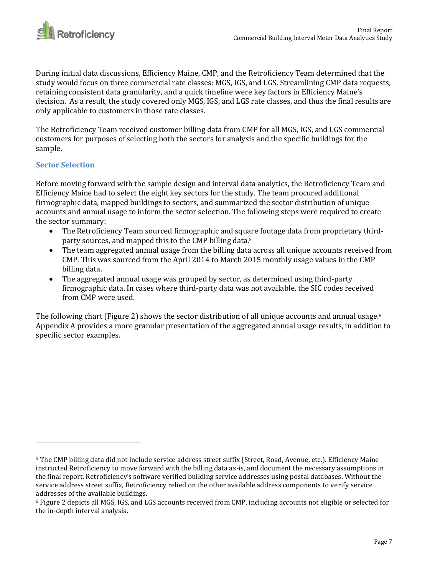

During initial data discussions, Efficiency Maine, CMP, and the Retroficiency Team determined that the study would focus on three commercial rate classes: MGS, IGS, and LGS. Streamlining CMP data requests, retaining consistent data granularity, and a quick timeline were key factors in Efficiency Maine's decision. As a result, the study covered only MGS, IGS, and LGS rate classes, and thus the final results are only applicable to customers in those rate classes.

The Retroficiency Team received customer billing data from CMP for all MGS, IGS, and LGS commercial customers for purposes of selecting both the sectors for analysis and the specific buildings for the sample.

### <span id="page-6-0"></span>**Sector Selection**

l

Before moving forward with the sample design and interval data analytics, the Retroficiency Team and Efficiency Maine had to select the eight key sectors for the study. The team procured additional firmographic data, mapped buildings to sectors, and summarized the sector distribution of unique accounts and annual usage to inform the sector selection. The following steps were required to create the sector summary:

- The Retroficiency Team sourced firmographic and square footage data from proprietary thirdparty sources, and mapped this to the CMP billing data.<sup>5</sup>
- The team aggregated annual usage from the billing data across all unique accounts received from CMP. This was sourced from the April 2014 to March 2015 monthly usage values in the CMP billing data.
- The aggregated annual usage was grouped by sector, as determined using third-party firmographic data. In cases where third-party data was not available, the SIC codes received from CMP were used.

The following chart (Figure 2) shows the sector distribution of all unique accounts and annual usage.<sup>6</sup> Appendix A provides a more granular presentation of the aggregated annual usage results, in addition to specific sector examples.

<sup>5</sup> The CMP billing data did not include service address street suffix (Street, Road, Avenue, etc.). Efficiency Maine instructed Retroficiency to move forward with the billing data as-is, and document the necessary assumptions in the final report. Retroficiency's software verified building service addresses using postal databases. Without the service address street suffix, Retroficiency relied on the other available address components to verify service addresses of the available buildings.

<sup>6</sup> Figure 2 depicts all MGS, IGS, and LGS accounts received from CMP, including accounts not eligible or selected for the in-depth interval analysis.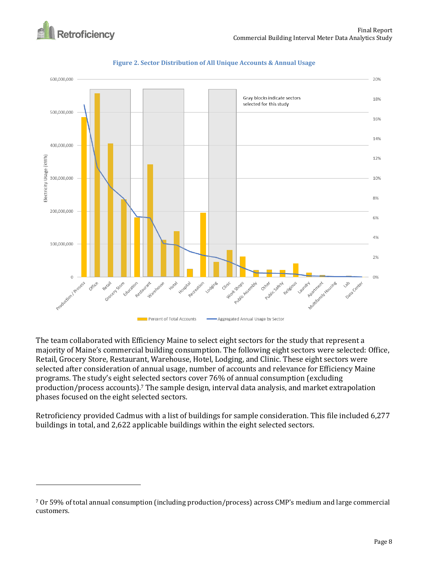

 $\overline{a}$ 





The team collaborated with Efficiency Maine to select eight sectors for the study that represent a majority of Maine's commercial building consumption. The following eight sectors were selected: Office, Retail, Grocery Store, Restaurant, Warehouse, Hotel, Lodging, and Clinic. These eight sectors were selected after consideration of annual usage, number of accounts and relevance for Efficiency Maine programs. The study's eight selected sectors cover 76% of annual consumption (excluding production/process accounts).<sup>7</sup> The sample design, interval data analysis, and market extrapolation phases focused on the eight selected sectors.

Retroficiency provided Cadmus with a list of buildings for sample consideration. This file included 6,277 buildings in total, and 2,622 applicable buildings within the eight selected sectors.

<sup>7</sup> Or 59% of total annual consumption (including production/process) across CMP's medium and large commercial customers.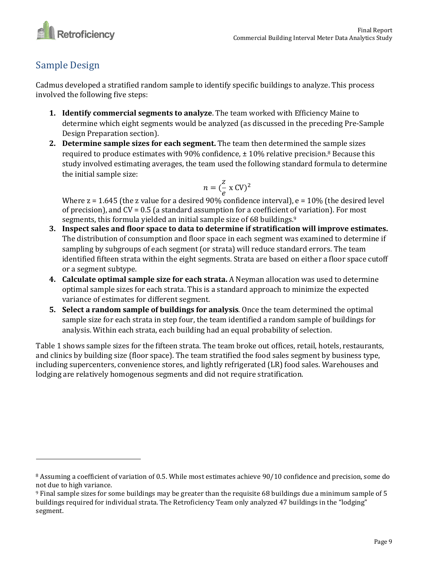

## <span id="page-8-0"></span>Sample Design

 $\overline{\phantom{0}}$ 

Cadmus developed a stratified random sample to identify specific buildings to analyze. This process involved the following five steps:

- **1. Identify commercial segments to analyze**. The team worked with Efficiency Maine to determine which eight segments would be analyzed (as discussed in the preceding Pre-Sample Design Preparation section).
- **2. Determine sample sizes for each segment.** The team then determined the sample sizes required to produce estimates with 90% confidence,  $\pm$  10% relative precision.<sup>8</sup> Because this study involved estimating averages, the team used the following standard formula to determine the initial sample size:

$$
n = \left(\frac{z}{e} \times \text{CV}\right)^2
$$

Where  $z = 1.645$  (the z value for a desired 90% confidence interval),  $e = 10%$  (the desired level of precision), and  $CV = 0.5$  (a standard assumption for a coefficient of variation). For most segments, this formula yielded an initial sample size of 68 buildings.<sup>9</sup>

- **3. Inspect sales and floor space to data to determine if stratification will improve estimates.** The distribution of consumption and floor space in each segment was examined to determine if sampling by subgroups of each segment (or strata) will reduce standard errors. The team identified fifteen strata within the eight segments. Strata are based on either a floor space cutoff or a segment subtype.
- **4. Calculate optimal sample size for each strata.** A Neyman allocation was used to determine optimal sample sizes for each strata. This is a standard approach to minimize the expected variance of estimates for different segment.
- **5. Select a random sample of buildings for analysis**. Once the team determined the optimal sample size for each strata in step four, the team identified a random sample of buildings for analysis. Within each strata, each building had an equal probability of selection.

[Table 1](#page-9-0) shows sample sizes for the fifteen strata. The team broke out offices, retail, hotels, restaurants, and clinics by building size (floor space). The team stratified the food sales segment by business type, including supercenters, convenience stores, and lightly refrigerated (LR) food sales. Warehouses and lodging are relatively homogenous segments and did not require stratification.

<sup>8</sup> Assuming a coefficient of variation of 0.5. While most estimates achieve 90/10 confidence and precision, some do not due to high variance.

<sup>9</sup> Final sample sizes for some buildings may be greater than the requisite 68 buildings due a minimum sample of 5 buildings required for individual strata. The Retroficiency Team only analyzed 47 buildings in the "lodging" segment.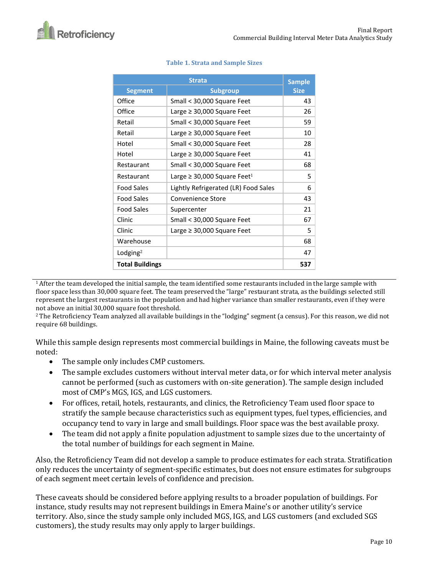<span id="page-9-0"></span>

|                        | <b>Sample</b>                                |             |
|------------------------|----------------------------------------------|-------------|
| <b>Segment</b>         | <b>Subgroup</b>                              | <b>Size</b> |
| Office                 | Small < 30,000 Square Feet                   | 43          |
| Office                 | Large $\geq$ 30,000 Square Feet              | 26          |
| Retail                 | Small < 30,000 Square Feet                   | 59          |
| Retail                 | Large $\geq$ 30,000 Square Feet              | 10          |
| Hotel                  | Small < 30,000 Square Feet                   | 28          |
| Hotel                  | Large $\geq$ 30,000 Square Feet              | 41          |
| Restaurant             | Small < 30,000 Square Feet                   | 68          |
| Restaurant             | Large $\geq$ 30,000 Square Feet <sup>1</sup> | 5           |
| Food Sales             | Lightly Refrigerated (LR) Food Sales         | 6           |
| <b>Food Sales</b>      | Convenience Store                            | 43          |
| <b>Food Sales</b>      | Supercenter                                  | 21          |
| Clinic                 | Small < 30,000 Square Feet                   | 67          |
| Clinic                 | Large $\geq$ 30,000 Square Feet              | 5           |
| Warehouse              |                                              | 68          |
| Lodging <sup>2</sup>   |                                              | 47          |
| <b>Total Buildings</b> |                                              | 537         |

### **Table 1. Strata and Sample Sizes**

<sup>1</sup> After the team developed the initial sample, the team identified some restaurants included in the large sample with floor space less than 30,000 square feet. The team preserved the "large" restaurant strata, as the buildings selected still represent the largest restaurants in the population and had higher variance than smaller restaurants, even if they were not above an initial 30,000 square foot threshold.

<sup>2</sup>The Retroficiency Team analyzed all available buildings in the "lodging" segment (a census). For this reason, we did not require 68 buildings.

While this sample design represents most commercial buildings in Maine, the following caveats must be noted:

- The sample only includes CMP customers.
- The sample excludes customers without interval meter data, or for which interval meter analysis cannot be performed (such as customers with on-site generation). The sample design included most of CMP's MGS, IGS, and LGS customers.
- For offices, retail, hotels, restaurants, and clinics, the Retroficiency Team used floor space to stratify the sample because characteristics such as equipment types, fuel types, efficiencies, and occupancy tend to vary in large and small buildings. Floor space was the best available proxy.
- The team did not apply a finite population adjustment to sample sizes due to the uncertainty of the total number of buildings for each segment in Maine.

Also, the Retroficiency Team did not develop a sample to produce estimates for each strata. Stratification only reduces the uncertainty of segment-specific estimates, but does not ensure estimates for subgroups of each segment meet certain levels of confidence and precision.

These caveats should be considered before applying results to a broader population of buildings. For instance, study results may not represent buildings in Emera Maine's or another utility's service territory. Also, since the study sample only included MGS, IGS, and LGS customers (and excluded SGS customers), the study results may only apply to larger buildings.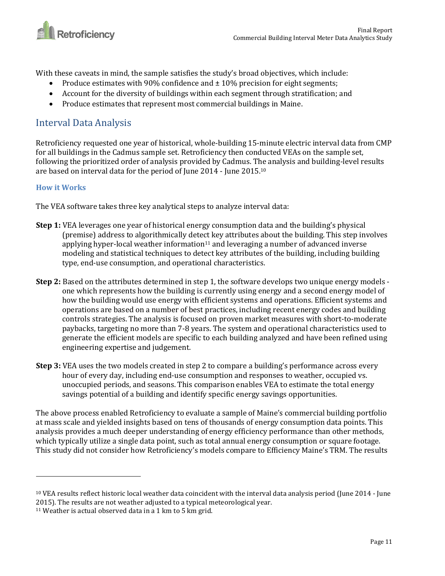

With these caveats in mind, the sample satisfies the study's broad objectives, which include:

- Produce estimates with 90% confidence and  $\pm$  10% precision for eight segments;
- Account for the diversity of buildings within each segment through stratification; and
- Produce estimates that represent most commercial buildings in Maine.

## <span id="page-10-0"></span>Interval Data Analysis

Retroficiency requested one year of historical, whole-building 15-minute electric interval data from CMP for all buildings in the Cadmus sample set. Retroficiency then conducted VEAs on the sample set, following the prioritized order of analysis provided by Cadmus. The analysis and building-level results are based on interval data for the period of June 2014 - June 2015.<sup>10</sup>

## <span id="page-10-1"></span>**How it Works**

 $\overline{a}$ 

The VEA software takes three key analytical steps to analyze interval data:

- **Step 1:** VEA leverages one year of historical energy consumption data and the building's physical (premise) address to algorithmically detect key attributes about the building. This step involves applying hyper-local weather information $11$  and leveraging a number of advanced inverse modeling and statistical techniques to detect key attributes of the building, including building type, end-use consumption, and operational characteristics.
- **Step 2:** Based on the attributes determined in step 1, the software develops two unique energy models one which represents how the building is currently using energy and a second energy model of how the building would use energy with efficient systems and operations. Efficient systems and operations are based on a number of best practices, including recent energy codes and building controls strategies. The analysis is focused on proven market measures with short-to-moderate paybacks, targeting no more than 7-8 years. The system and operational characteristics used to generate the efficient models are specific to each building analyzed and have been refined using engineering expertise and judgement.
- **Step 3:** VEA uses the two models created in step 2 to compare a building's performance across every hour of every day, including end-use consumption and responses to weather, occupied vs. unoccupied periods, and seasons. This comparison enables VEA to estimate the total energy savings potential of a building and identify specific energy savings opportunities.

The above process enabled Retroficiency to evaluate a sample of Maine's commercial building portfolio at mass scale and yielded insights based on tens of thousands of energy consumption data points. This analysis provides a much deeper understanding of energy efficiency performance than other methods, which typically utilize a single data point, such as total annual energy consumption or square footage. This study did not consider how Retroficiency's models compare to Efficiency Maine's TRM. The results

<sup>10</sup> VEA results reflect historic local weather data coincident with the interval data analysis period (June 2014 - June 2015). The results are not weather adjusted to a typical meteorological year.

<sup>&</sup>lt;sup>11</sup> Weather is actual observed data in a 1 km to 5 km grid.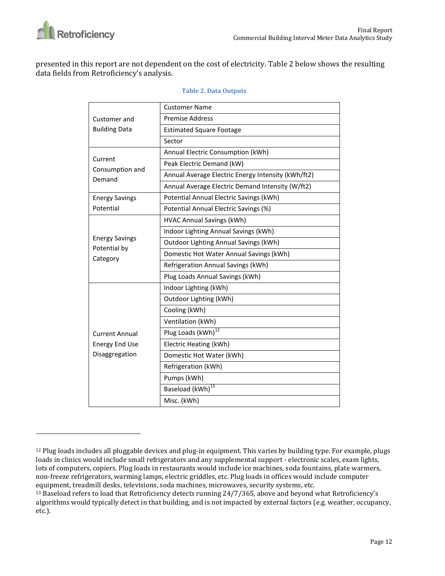

l

presented in this report are not dependent on the cost of electricity. Table 2 below shows the resulting data fields from Retroficiency's analysis.

|                                       | <b>Customer Name</b>                               |  |  |  |  |  |  |  |
|---------------------------------------|----------------------------------------------------|--|--|--|--|--|--|--|
| Customer and                          | <b>Premise Address</b>                             |  |  |  |  |  |  |  |
| <b>Building Data</b>                  | <b>Estimated Square Footage</b>                    |  |  |  |  |  |  |  |
|                                       | Sector                                             |  |  |  |  |  |  |  |
|                                       | Annual Electric Consumption (kWh)                  |  |  |  |  |  |  |  |
| Current                               | Peak Electric Demand (kW)                          |  |  |  |  |  |  |  |
| Consumption and<br>Demand             | Annual Average Electric Energy Intensity (kWh/ft2) |  |  |  |  |  |  |  |
|                                       | Annual Average Electric Demand Intensity (W/ft2)   |  |  |  |  |  |  |  |
| <b>Energy Savings</b>                 | Potential Annual Electric Savings (kWh)            |  |  |  |  |  |  |  |
| Potential                             | Potential Annual Electric Savings (%)              |  |  |  |  |  |  |  |
|                                       | <b>HVAC Annual Savings (kWh)</b>                   |  |  |  |  |  |  |  |
|                                       | Indoor Lighting Annual Savings (kWh)               |  |  |  |  |  |  |  |
| <b>Energy Savings</b><br>Potential by | Outdoor Lighting Annual Savings (kWh)              |  |  |  |  |  |  |  |
| Category                              | Domestic Hot Water Annual Savings (kWh)            |  |  |  |  |  |  |  |
|                                       | Refrigeration Annual Savings (kWh)                 |  |  |  |  |  |  |  |
|                                       | Plug Loads Annual Savings (kWh)                    |  |  |  |  |  |  |  |
|                                       | Indoor Lighting (kWh)                              |  |  |  |  |  |  |  |
|                                       | Outdoor Lighting (kWh)                             |  |  |  |  |  |  |  |
|                                       | Cooling (kWh)                                      |  |  |  |  |  |  |  |
|                                       | Ventilation (kWh)                                  |  |  |  |  |  |  |  |
| <b>Current Annual</b>                 | Plug Loads (kWh) <sup>12</sup>                     |  |  |  |  |  |  |  |
| <b>Energy End Use</b>                 | Electric Heating (kWh)                             |  |  |  |  |  |  |  |
| Disaggregation                        | Domestic Hot Water (kWh)                           |  |  |  |  |  |  |  |
|                                       | Refrigeration (kWh)                                |  |  |  |  |  |  |  |
|                                       | Pumps (kWh)                                        |  |  |  |  |  |  |  |
|                                       | Baseload (kWh) <sup>13</sup>                       |  |  |  |  |  |  |  |
|                                       | Misc. (kWh)                                        |  |  |  |  |  |  |  |

### **Table 2. Data Outputs**

 $12$  Plug loads includes all pluggable devices and plug-in equipment. This varies by building type. For example, plugs loads in clinics would include small refrigerators and any supplemental support - electronic scales, exam lights, lots of computers, copiers. Plug loads in restaurants would include ice machines, soda fountains, plate warmers, non-freeze refrigerators, warming lamps, electric griddles, etc. Plug loads in offices would include computer equipment, treadmill desks, televisions, soda machines, microwaves, security systems, etc.

<sup>13</sup> Baseload refers to load that Retroficiency detects running 24/7/365, above and beyond what Retroficiency's algorithms would typically detect in that building, and is not impacted by external factors (e.g. weather, occupancy, etc.).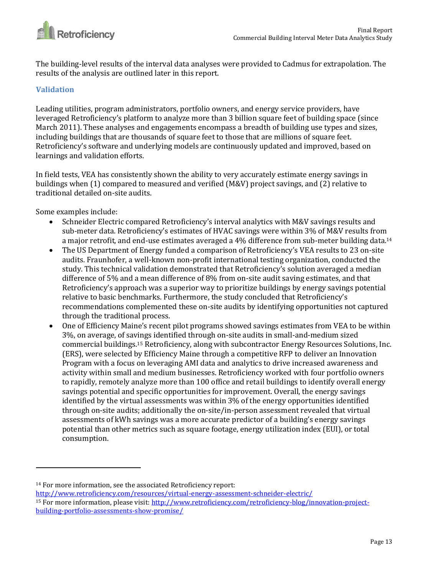

The building-level results of the interval data analyses were provided to Cadmus for extrapolation. The results of the analysis are outlined later in this report.

## <span id="page-12-0"></span>**Validation**

Leading utilities, program administrators, portfolio owners, and energy service providers, have leveraged Retroficiency's platform to analyze more than 3 billion square feet of building space (since March 2011). These analyses and engagements encompass a breadth of building use types and sizes, including buildings that are thousands of square feet to those that are millions of square feet. Retroficiency's software and underlying models are continuously updated and improved, based on learnings and validation efforts.

In field tests, VEA has consistently shown the ability to very accurately estimate energy savings in buildings when (1) compared to measured and verified (M&V) project savings, and (2) relative to traditional detailed on-site audits.

Some examples include:

l

- Schneider Electric compared Retroficiency's interval analytics with M&V savings results and sub-meter data. Retroficiency's estimates of HVAC savings were within 3% of M&V results from a major retrofit, and end-use estimates averaged a 4% difference from sub-meter building data.<sup>14</sup>
- The US Department of Energy funded a comparison of Retroficiency's VEA results to 23 on-site audits. Fraunhofer, a well-known non-profit international testing organization, conducted the study. This technical validation demonstrated that Retroficiency's solution averaged a median difference of 5% and a mean difference of 8% from on-site audit saving estimates, and that Retroficiency's approach was a superior way to prioritize buildings by energy savings potential relative to basic benchmarks. Furthermore, the study concluded that Retroficiency's recommendations complemented these on-site audits by identifying opportunities not captured through the traditional process.
- One of Efficiency Maine's recent pilot programs showed savings estimates from VEA to be within 3%, on average, of savings identified through on-site audits in small-and-medium sized commercial buildings.<sup>15</sup> Retroficiency, along with subcontractor Energy Resources Solutions, Inc. (ERS), were selected by Efficiency Maine through a competitive RFP to deliver an Innovation Program with a focus on leveraging AMI data and analytics to drive increased awareness and activity within small and medium businesses. Retroficiency worked with four portfolio owners to rapidly, remotely analyze more than 100 office and retail buildings to identify overall energy savings potential and specific opportunities for improvement. Overall, the energy savings identified by the virtual assessments was within 3% of the energy opportunities identified through on-site audits; additionally the on-site/in-person assessment revealed that virtual assessments of kWh savings was a more accurate predictor of a building's energy savings potential than other metrics such as square footage, energy utilization index (EUI), or total consumption.

<sup>14</sup> For more information, see the associated Retroficiency report:

<http://www.retroficiency.com/resources/virtual-energy-assessment-schneider-electric/> <sup>15</sup> For more information, please visit[: http://www.retroficiency.com/retroficiency-blog/innovation-project](http://www.retroficiency.com/retroficiency-blog/innovation-project-building-portfolio-assessments-show-promise/)[building-portfolio-assessments-show-promise/](http://www.retroficiency.com/retroficiency-blog/innovation-project-building-portfolio-assessments-show-promise/)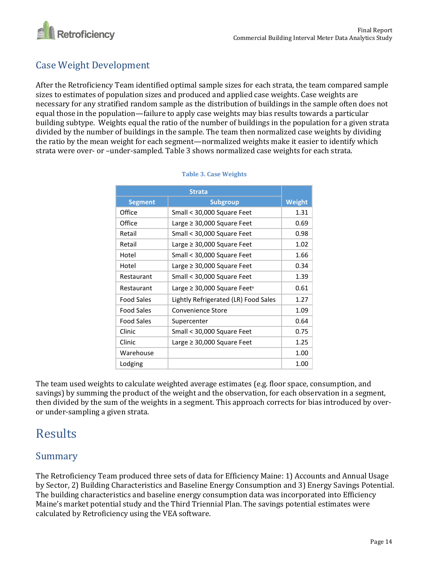

## <span id="page-13-0"></span>Case Weight Development

After the Retroficiency Team identified optimal sample sizes for each strata, the team compared sample sizes to estimates of population sizes and produced and applied case weights. Case weights are necessary for any stratified random sample as the distribution of buildings in the sample often does not equal those in the population—failure to apply case weights may bias results towards a particular building subtype. Weights equal the ratio of the number of buildings in the population for a given strata divided by the number of buildings in the sample. The team then normalized case weights by dividing the ratio by the mean weight for each segment—normalized weights make it easier to identify which strata were over- or –under-sampled. Table 3 shows normalized case weights for each strata.

| <b>Segment</b>    | <b>Subgroup</b>                              | <b>Weight</b> |
|-------------------|----------------------------------------------|---------------|
| Office            | Small < 30,000 Square Feet                   | 1.31          |
| Office            | Large $\geq$ 30,000 Square Feet              | 0.69          |
| Retail            | Small < 30,000 Square Feet                   | 0.98          |
| Retail            | Large $\geq$ 30,000 Square Feet              | 1.02          |
| Hotel             | Small < 30,000 Square Feet                   | 1.66          |
| Hotel             | Large $\geq$ 30,000 Square Feet              | 0.34          |
| Restaurant        | Small < 30,000 Square Feet                   | 1.39          |
| Restaurant        | Large $\geq$ 30,000 Square Feet <sup>a</sup> | 0.61          |
| <b>Food Sales</b> | Lightly Refrigerated (LR) Food Sales         | 1.27          |
| <b>Food Sales</b> | Convenience Store                            | 1.09          |
| Food Sales        | Supercenter                                  | 0.64          |
| Clinic            | Small < 30,000 Square Feet                   | 0.75          |
| Clinic            | Large $\geq$ 30,000 Square Feet              | 1.25          |
| Warehouse         |                                              | 1.00          |
| Lodging           |                                              | 1.00          |

#### **Table 3. Case Weights**

The team used weights to calculate weighted average estimates (e.g. floor space, consumption, and savings) by summing the product of the weight and the observation, for each observation in a segment, then divided by the sum of the weights in a segment. This approach corrects for bias introduced by overor under-sampling a given strata.

## <span id="page-13-1"></span>Results

## <span id="page-13-2"></span>Summary

The Retroficiency Team produced three sets of data for Efficiency Maine: 1) Accounts and Annual Usage by Sector, 2) Building Characteristics and Baseline Energy Consumption and 3) Energy Savings Potential. The building characteristics and baseline energy consumption data was incorporated into Efficiency Maine's market potential study and the Third Triennial Plan. The savings potential estimates were calculated by Retroficiency using the VEA software.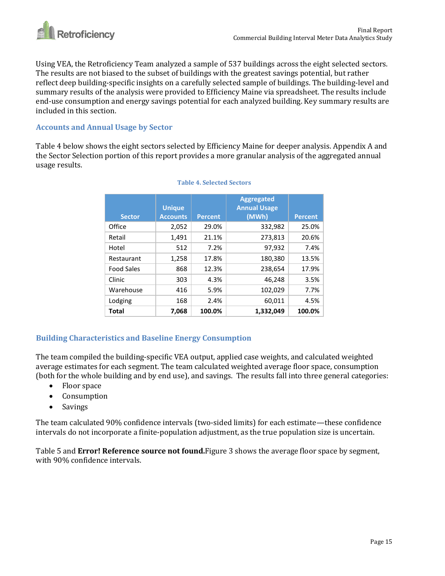

Using VEA, the Retroficiency Team analyzed a sample of 537 buildings across the eight selected sectors. The results are not biased to the subset of buildings with the greatest savings potential, but rather reflect deep building-specific insights on a carefully selected sample of buildings. The building-level and summary results of the analysis were provided to Efficiency Maine via spreadsheet. The results include end-use consumption and energy savings potential for each analyzed building. Key summary results are included in this section.

### <span id="page-14-0"></span>**Accounts and Annual Usage by Sector**

Table 4 below shows the eight sectors selected by Efficiency Maine for deeper analysis. Appendix A and the Sector Selection portion of this report provides a more granular analysis of the aggregated annual usage results.

| <b>Sector</b>     | <b>Unique</b><br><b>Accounts</b> | <b>Percent</b> | Aggregated<br><b>Annual Usage</b><br>(MWh) | <b>Percent</b> |
|-------------------|----------------------------------|----------------|--------------------------------------------|----------------|
| Office            | 2,052                            | 29.0%          | 332,982                                    | 25.0%          |
| Retail            | 1,491                            | 21.1%          | 273,813                                    | 20.6%          |
| Hotel             | 512                              | 7.2%           | 97,932                                     | 7.4%           |
| Restaurant        | 1,258                            | 17.8%          | 180,380                                    | 13.5%          |
| <b>Food Sales</b> | 868                              | 12.3%          | 238,654                                    | 17.9%          |
| Clinic            | 303                              | 4.3%           | 46,248                                     | 3.5%           |
| Warehouse         | 416                              | 5.9%           | 102,029                                    | 7.7%           |
| Lodging           | 168                              | 2.4%           | 60,011                                     | 4.5%           |
| Total             | 7,068                            | 100.0%         | 1,332,049                                  | 100.0%         |

#### **Table 4. Selected Sectors**

## <span id="page-14-1"></span>**Building Characteristics and Baseline Energy Consumption**

The team compiled the building-specific VEA output, applied case weights, and calculated weighted average estimates for each segment. The team calculated weighted average floor space, consumption (both for the whole building and by end use), and savings. The results fall into three general categories:

- Floor space
- Consumption
- Savings

The team calculated 90% confidence intervals (two-sided limits) for each estimate—these confidence intervals do not incorporate a finite-population adjustment, as the true population size is uncertain.

Table 5 and **Error! Reference source not found.**Figure 3 shows the average floor space by segment, with 90% confidence intervals.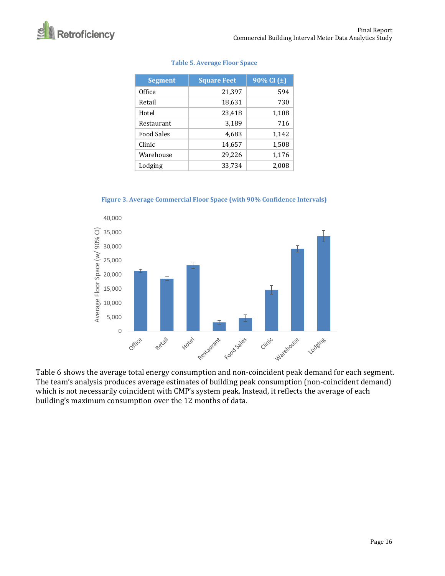| <b>Segment</b>    | <b>Square Feet</b> | 90% CI $(\pm)$ |  |  |  |  |
|-------------------|--------------------|----------------|--|--|--|--|
| Office            | 21,397             | 594            |  |  |  |  |
| Retail            | 18,631             | 730            |  |  |  |  |
| Hotel             | 23,418             | 1,108          |  |  |  |  |
| Restaurant        | 3,189              | 716            |  |  |  |  |
| <b>Food Sales</b> | 4,683              | 1,142          |  |  |  |  |
| Clinic            | 14,657             | 1,508          |  |  |  |  |
| Warehouse         | 29,226             | 1,176          |  |  |  |  |
| Lodging           | 33,734             | 2,008          |  |  |  |  |

#### **Table 5. Average Floor Space**

**Figure 3. Average Commercial Floor Space (with 90% Confidence Intervals)**



Table 6 shows the average total energy consumption and non-coincident peak demand for each segment. The team's analysis produces average estimates of building peak consumption (non-coincident demand) which is not necessarily coincident with CMP's system peak. Instead, it reflects the average of each building's maximum consumption over the 12 months of data.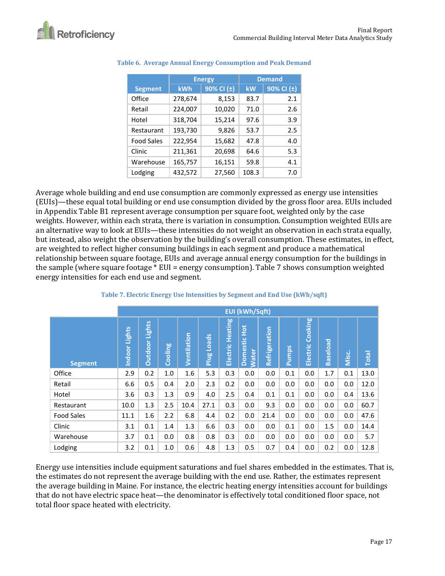

|                   |         | <b>Energy</b> |       | <b>Demand</b>  |  |  |
|-------------------|---------|---------------|-------|----------------|--|--|
| <b>Segment</b>    | kWh     | 90% CI (±)    | kW    | 90% CI $(\pm)$ |  |  |
| Office            | 278,674 | 8,153         | 83.7  | 2.1            |  |  |
| Retail            | 224,007 | 10,020        | 71.0  | 2.6            |  |  |
| Hotel             | 318,704 | 15,214        | 97.6  | 3.9            |  |  |
| Restaurant        | 193,730 | 9,826         | 53.7  | 2.5            |  |  |
| <b>Food Sales</b> | 222,954 | 15,682        | 47.8  | 4.0            |  |  |
| Clinic            | 211,361 | 20,698        | 64.6  | 5.3            |  |  |
| Warehouse         | 165,757 | 16,151        | 59.8  | 4.1            |  |  |
| Lodging           | 432,572 | 27,560        | 108.3 | 7.0            |  |  |

### **Table 6. Average Annual Energy Consumption and Peak Demand**

Average whole building and end use consumption are commonly expressed as energy use intensities (EUIs)—these equal total building or end use consumption divided by the gross floor area. EUIs included in Appendix Table B1 represent average consumption per square foot, weighted only by the case weights. However, within each strata, there is variation in consumption. Consumption weighted EUIs are an alternative way to look at EUIs—these intensities do not weight an observation in each strata equally, but instead, also weight the observation by the building's overall consumption. These estimates, in effect, are weighted to reflect higher consuming buildings in each segment and produce a mathematical relationship between square footage, EUIs and average annual energy consumption for the buildings in the sample (where square footage \* EUI = energy consumption). Table 7 shows consumption weighted energy intensities for each end use and segment.

|                   |                  | <b>EUI (kWh/Sqft)</b>    |         |             |                             |                     |                              |               |              |                     |                 |       |              |
|-------------------|------------------|--------------------------|---------|-------------|-----------------------------|---------------------|------------------------------|---------------|--------------|---------------------|-----------------|-------|--------------|
| <b>Segment</b>    | Lights<br>Indoor | Lights<br><b>Outdoor</b> | Cooling | Ventilation | <b>Loads</b><br><b>Plug</b> | Heating<br>Electric | Domestic Hot<br><b>Water</b> | Refrigeration | <b>Pumps</b> | Cooking<br>Electric | <b>Baseload</b> | Misc. | <b>Total</b> |
| Office            | 2.9              | 0.2                      | 1.0     | 1.6         | 5.3                         | 0.3                 | 0.0                          | 0.0           | 0.1          | 0.0                 | 1.7             | 0.1   | 13.0         |
| Retail            | 6.6              | 0.5                      | 0.4     | 2.0         | 2.3                         | 0.2                 | 0.0                          | 0.0           | 0.0          | 0.0                 | 0.0             | 0.0   | 12.0         |
| Hotel             | 3.6              | 0.3                      | 1.3     | 0.9         | 4.0                         | 2.5                 | 0.4                          | 0.1           | 0.1          | 0.0                 | 0.0             | 0.4   | 13.6         |
| Restaurant        | 10.0             | 1.3                      | 2.5     | 10.4        | 27.1                        | 0.3                 | 0.0                          | 9.3           | 0.0          | 0.0                 | 0.0             | 0.0   | 60.7         |
| <b>Food Sales</b> | 11.1             | 1.6                      | 2.2     | 6.8         | 4.4                         | 0.2                 | 0.0                          | 21.4          | 0.0          | 0.0                 | 0.0             | 0.0   | 47.6         |
| Clinic            | 3.1              | 0.1                      | 1.4     | 1.3         | 6.6                         | 0.3                 | 0.0                          | 0.0           | 0.1          | 0.0                 | 1.5             | 0.0   | 14.4         |
| Warehouse         | 3.7              | 0.1                      | 0.0     | 0.8         | 0.8                         | 0.3                 | 0.0                          | 0.0           | 0.0          | 0.0                 | 0.0             | 0.0   | 5.7          |
| Lodging           | 3.2              | 0.1                      | 1.0     | 0.6         | 4.8                         | 1.3                 | 0.5                          | 0.7           | 0.4          | 0.0                 | 0.2             | 0.0   | 12.8         |

### **Table 7. Electric Energy Use Intensities by Segment and End Use (kWh/sqft)**

Energy use intensities include equipment saturations and fuel shares embedded in the estimates. That is, the estimates do not represent the average building with the end use. Rather, the estimates represent the average building in Maine. For instance, the electric heating energy intensities account for buildings that do not have electric space heat—the denominator is effectively total conditioned floor space, not total floor space heated with electricity.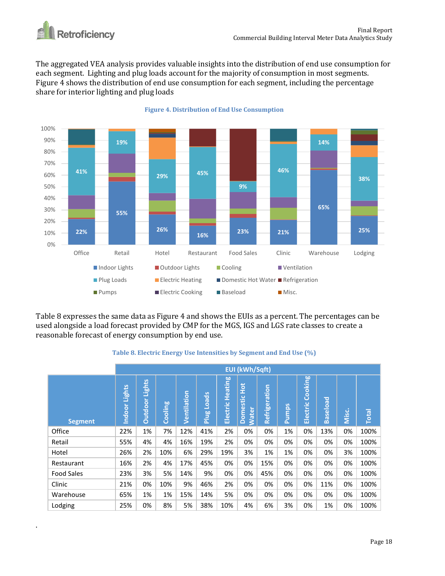

.

The aggregated VEA analysis provides valuable insights into the distribution of end use consumption for each segment. Lighting and plug loads account for the majority of consumption in most segments. Figure 4 shows the distribution of end use consumption for each segment, including the percentage share for interior lighting and plug loads



#### **Figure 4. Distribution of End Use Consumption**

Table 8 expresses the same data as Figure 4 and shows the EUIs as a percent. The percentages can be used alongside a load forecast provided by CMP for the MGS, IGS and LGS rate classes to create a reasonable forecast of energy consumption by end use.

#### **Table 8. Electric Energy Use Intensities by Segment and End Use (%)**

|                   |                  | <b>EUI (kWh/Sqft)</b> |         |             |                       |                  |                                             |               |              |                     |                 |              |              |
|-------------------|------------------|-----------------------|---------|-------------|-----------------------|------------------|---------------------------------------------|---------------|--------------|---------------------|-----------------|--------------|--------------|
| <b>Segment</b>    | Lights<br>Indoor | Lights<br>Outdoor     | Cooling | Ventilation | Loads<br><b>BILIE</b> | Electric Heating | $rac{1}{2}$<br>estic<br><b>Water</b><br>Dom | Refrigeration | <b>Pumps</b> | Cooking<br>Electric | <b>Baseload</b> | <b>Misc.</b> | <b>Total</b> |
| Office            | 22%              | 1%                    | 7%      | 12%         | 41%                   | 2%               | 0%                                          | 0%            | 1%           | 0%                  | 13%             | 0%           | 100%         |
| Retail            | 55%              | 4%                    | 4%      | 16%         | 19%                   | 2%               | 0%                                          | 0%            | 0%           | 0%                  | 0%              | 0%           | 100%         |
| Hotel             | 26%              | 2%                    | 10%     | 6%          | 29%                   | 19%              | 3%                                          | 1%            | 1%           | 0%                  | 0%              | 3%           | 100%         |
| Restaurant        | 16%              | 2%                    | 4%      | 17%         | 45%                   | 0%               | 0%                                          | 15%           | 0%           | 0%                  | 0%              | 0%           | 100%         |
| <b>Food Sales</b> | 23%              | 3%                    | 5%      | 14%         | 9%                    | 0%               | 0%                                          | 45%           | 0%           | 0%                  | 0%              | 0%           | 100%         |
| Clinic            | 21%              | 0%                    | 10%     | 9%          | 46%                   | 2%               | 0%                                          | 0%            | 0%           | 0%                  | 11%             | 0%           | 100%         |
| Warehouse         | 65%              | 1%                    | 1%      | 15%         | 14%                   | 5%               | 0%                                          | 0%            | 0%           | 0%                  | 0%              | 0%           | 100%         |
| Lodging           | 25%              | 0%                    | 8%      | 5%          | 38%                   | 10%              | 4%                                          | 6%            | 3%           | 0%                  | 1%              | 0%           | 100%         |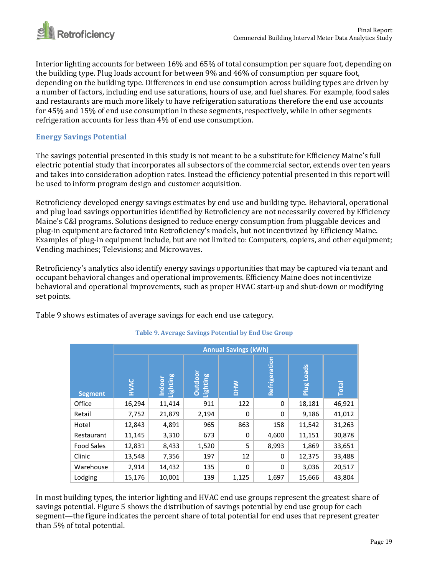

Interior lighting accounts for between 16% and 65% of total consumption per square foot, depending on the building type. Plug loads account for between 9% and 46% of consumption per square foot, depending on the building type. Differences in end use consumption across building types are driven by a number of factors, including end use saturations, hours of use, and fuel shares. For example, food sales and restaurants are much more likely to have refrigeration saturations therefore the end use accounts for 45% and 15% of end use consumption in these segments, respectively, while in other segments refrigeration accounts for less than 4% of end use consumption.

### <span id="page-18-0"></span>**Energy Savings Potential**

The savings potential presented in this study is not meant to be a substitute for Efficiency Maine's full electric potential study that incorporates all subsectors of the commercial sector, extends over ten years and takes into consideration adoption rates. Instead the efficiency potential presented in this report will be used to inform program design and customer acquisition.

Retroficiency developed energy savings estimates by end use and building type. Behavioral, operational and plug load savings opportunities identified by Retroficiency are not necessarily covered by Efficiency Maine's C&I programs. Solutions designed to reduce energy consumption from pluggable devices and plug-in equipment are factored into Retroficiency's models, but not incentivized by Efficiency Maine. Examples of plug-in equipment include, but are not limited to: Computers, copiers, and other equipment; Vending machines; Televisions; and Microwaves.

Retroficiency's analytics also identify energy savings opportunities that may be captured via tenant and occupant behavioral changes and operational improvements. Efficiency Maine does not incentivize behavioral and operational improvements, such as proper HVAC start-up and shut-down or modifying set points.

Table 9 shows estimates of average savings for each end use category.

|                   |             |                           |                     | <b>Annual Savings (kWh)</b> |               |                      |              |
|-------------------|-------------|---------------------------|---------------------|-----------------------------|---------------|----------------------|--------------|
| <b>Segment</b>    | <b>HVAC</b> | Lighting<br><b>Indoor</b> | Outdoor<br>Lighting | <b>NHO</b>                  | Refrigeration | <b>Loads</b><br>Plug | <b>Total</b> |
| Office            | 16,294      | 11,414                    | 911                 | 122                         | 0             | 18,181               | 46,921       |
| Retail            | 7,752       | 21,879                    | 2,194               | 0                           | $\Omega$      | 9,186                | 41,012       |
| Hotel             | 12,843      | 4,891                     | 965                 | 863                         | 158           | 11,542               | 31,263       |
| Restaurant        | 11,145      | 3,310                     | 673                 | 0                           | 4,600         | 11,151               | 30,878       |
| <b>Food Sales</b> | 12,831      | 8,433                     | 1,520               | 5                           | 8,993         | 1,869                | 33,651       |
| Clinic            | 13,548      | 7,356                     | 197                 | 12                          | 0             | 12,375               | 33,488       |
| Warehouse         | 2,914       | 14,432                    | 135                 | $\Omega$                    | $\Omega$      | 3,036                | 20,517       |
| Lodging           | 15,176      | 10,001                    | 139                 | 1,125                       | 1,697         | 15,666               | 43,804       |

### **Table 9. Average Savings Potential by End Use Group**

In most building types, the interior lighting and HVAC end use groups represent the greatest share of savings potential. Figure 5 shows the distribution of savings potential by end use group for each segment—the figure indicates the percent share of total potential for end uses that represent greater than 5% of total potential.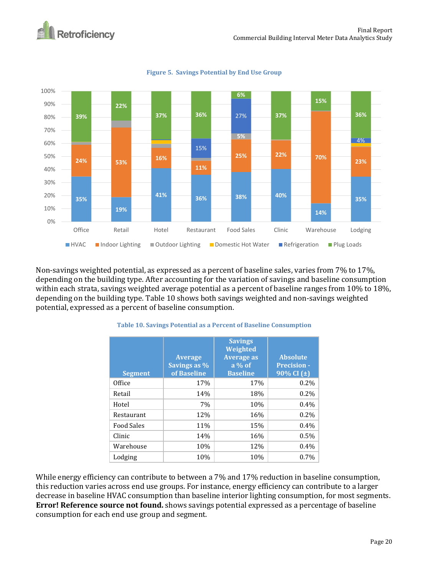

### **Figure 5. Savings Potential by End Use Group**

Non-savings weighted potential, as expressed as a percent of baseline sales, varies from 7% to 17%, depending on the building type. After accounting for the variation of savings and baseline consumption within each strata, savings weighted average potential as a percent of baseline ranges from 10% to 18%, depending on the building type. Table 10 shows both savings weighted and non-savings weighted potential, expressed as a percent of baseline consumption.

| <b>Segment</b>    | <b>Average</b><br>Savings as %<br>of Baseline | <b>Savings</b><br>Weighted<br><b>Average as</b><br>$a\%$ of<br><b>Baseline</b> | <b>Absolute</b><br><b>Precision -</b><br>$90\%$ CI ( $\pm$ ) |
|-------------------|-----------------------------------------------|--------------------------------------------------------------------------------|--------------------------------------------------------------|
| Office            | 17%                                           | 17%                                                                            | $0.2\%$                                                      |
| Retail            | 14%                                           | 18%                                                                            | $0.2\%$                                                      |
| Hotel             | 7%                                            | 10%                                                                            | $0.4\%$                                                      |
| <b>Restaurant</b> | 12%                                           | 16%                                                                            | $0.2\%$                                                      |
| <b>Food Sales</b> | 11%                                           | 15%                                                                            | 0.4%                                                         |
| Clinic            | 14%                                           | 16%                                                                            | 0.5%                                                         |
| Warehouse         | 10%                                           | 12%                                                                            | $0.4\%$                                                      |
| Lodging           | 10%                                           | 10%                                                                            | 0.7%                                                         |

#### **Table 10. Savings Potential as a Percent of Baseline Consumption**

While energy efficiency can contribute to between a 7% and 17% reduction in baseline consumption, this reduction varies across end use groups. For instance, energy efficiency can contribute to a larger decrease in baseline HVAC consumption than baseline interior lighting consumption, for most segments. **Error! Reference source not found.** shows savings potential expressed as a percentage of baseline consumption for each end use group and segment.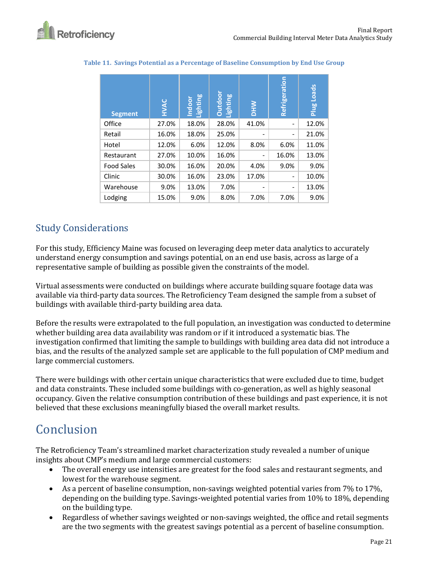| <b>Segment</b>    | HVAC  | Lighting<br><b>Indoor</b> | Outdoor<br>Lighting | <b>NHO</b> | Refrigeration            | Loads<br>Plug |
|-------------------|-------|---------------------------|---------------------|------------|--------------------------|---------------|
| Office            | 27.0% | 18.0%                     | 28.0%               | 41.0%      | $\qquad \qquad -$        | 12.0%         |
| Retail            | 16.0% | 18.0%                     | 25.0%               |            | $\overline{\phantom{a}}$ | 21.0%         |
| Hotel             | 12.0% | 6.0%                      | 12.0%               | 8.0%       | 6.0%                     | 11.0%         |
| Restaurant        | 27.0% | 10.0%                     | 16.0%               |            | 16.0%                    | 13.0%         |
| <b>Food Sales</b> | 30.0% | 16.0%                     | 20.0%               | 4.0%       | 9.0%                     | 9.0%          |
| Clinic            | 30.0% | 16.0%                     | 23.0%               | 17.0%      | $\overline{\phantom{a}}$ | 10.0%         |
| Warehouse         | 9.0%  | 13.0%                     | 7.0%                |            | $\qquad \qquad -$        | 13.0%         |
| Lodging           | 15.0% | 9.0%                      | 8.0%                | 7.0%       | 7.0%                     | 9.0%          |

**Table 11. Savings Potential as a Percentage of Baseline Consumption by End Use Group**

## <span id="page-20-0"></span>Study Considerations

For this study, Efficiency Maine was focused on leveraging deep meter data analytics to accurately understand energy consumption and savings potential, on an end use basis, across as large of a representative sample of building as possible given the constraints of the model.

Virtual assessments were conducted on buildings where accurate building square footage data was available via third-party data sources. The Retroficiency Team designed the sample from a subset of buildings with available third-party building area data.

Before the results were extrapolated to the full population, an investigation was conducted to determine whether building area data availability was random or if it introduced a systematic bias. The investigation confirmed that limiting the sample to buildings with building area data did not introduce a bias, and the results of the analyzed sample set are applicable to the full population of CMP medium and large commercial customers.

There were buildings with other certain unique characteristics that were excluded due to time, budget and data constraints. These included some buildings with co-generation, as well as highly seasonal occupancy. Given the relative consumption contribution of these buildings and past experience, it is not believed that these exclusions meaningfully biased the overall market results.

# <span id="page-20-1"></span>**Conclusion**

The Retroficiency Team's streamlined market characterization study revealed a number of unique insights about CMP's medium and large commercial customers:

- The overall energy use intensities are greatest for the food sales and restaurant segments, and lowest for the warehouse segment.
- As a percent of baseline consumption, non-savings weighted potential varies from 7% to 17%, depending on the building type. Savings-weighted potential varies from 10% to 18%, depending on the building type.
- Regardless of whether savings weighted or non-savings weighted, the office and retail segments are the two segments with the greatest savings potential as a percent of baseline consumption.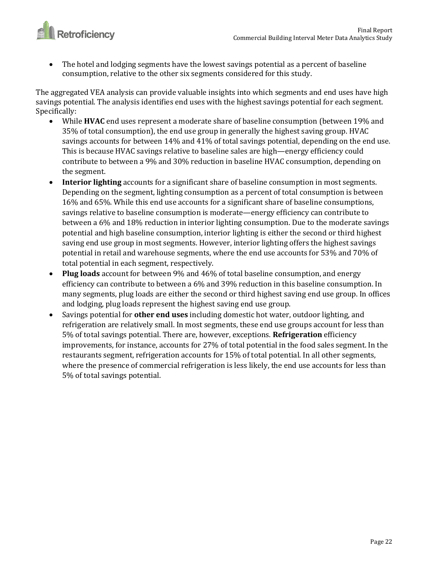

• The hotel and lodging segments have the lowest savings potential as a percent of baseline consumption, relative to the other six segments considered for this study.

The aggregated VEA analysis can provide valuable insights into which segments and end uses have high savings potential. The analysis identifies end uses with the highest savings potential for each segment. Specifically:

- While **HVAC** end uses represent a moderate share of baseline consumption (between 19% and 35% of total consumption), the end use group in generally the highest saving group. HVAC savings accounts for between 14% and 41% of total savings potential, depending on the end use. This is because HVAC savings relative to baseline sales are high—energy efficiency could contribute to between a 9% and 30% reduction in baseline HVAC consumption, depending on the segment.
- **Interior lighting** accounts for a significant share of baseline consumption in most segments. Depending on the segment, lighting consumption as a percent of total consumption is between 16% and 65%. While this end use accounts for a significant share of baseline consumptions, savings relative to baseline consumption is moderate—energy efficiency can contribute to between a 6% and 18% reduction in interior lighting consumption. Due to the moderate savings potential and high baseline consumption, interior lighting is either the second or third highest saving end use group in most segments. However, interior lighting offers the highest savings potential in retail and warehouse segments, where the end use accounts for 53% and 70% of total potential in each segment, respectively.
- **Plug loads** account for between 9% and 46% of total baseline consumption, and energy efficiency can contribute to between a 6% and 39% reduction in this baseline consumption. In many segments, plug loads are either the second or third highest saving end use group. In offices and lodging, plug loads represent the highest saving end use group.
- Savings potential for **other end uses** including domestic hot water, outdoor lighting, and refrigeration are relatively small. In most segments, these end use groups account for less than 5% of total savings potential. There are, however, exceptions. **Refrigeration** efficiency improvements, for instance, accounts for 27% of total potential in the food sales segment. In the restaurants segment, refrigeration accounts for 15% of total potential. In all other segments, where the presence of commercial refrigeration is less likely, the end use accounts for less than 5% of total savings potential.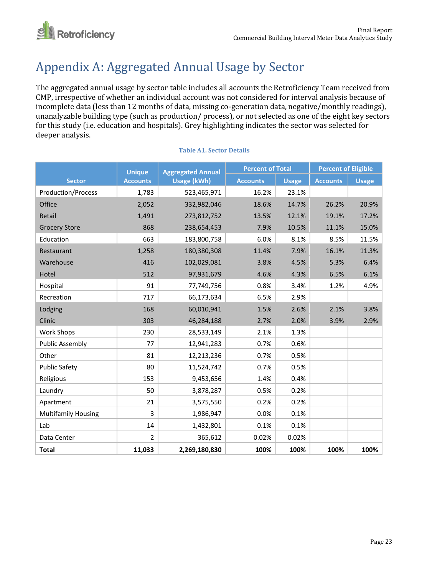

# <span id="page-22-0"></span>Appendix A: Aggregated Annual Usage by Sector

The aggregated annual usage by sector table includes all accounts the Retroficiency Team received from CMP, irrespective of whether an individual account was not considered for interval analysis because of incomplete data (less than 12 months of data, missing co-generation data, negative/monthly readings), unanalyzable building type (such as production/ process), or not selected as one of the eight key sectors for this study (i.e. education and hospitals). Grey highlighting indicates the sector was selected for deeper analysis.

|                            | <b>Unique</b>   | <b>Aggregated Annual</b> | <b>Percent of Total</b> |              | <b>Percent of Eligible</b> |              |  |
|----------------------------|-----------------|--------------------------|-------------------------|--------------|----------------------------|--------------|--|
| <b>Sector</b>              | <b>Accounts</b> | <b>Usage (kWh)</b>       | <b>Accounts</b>         | <b>Usage</b> | <b>Accounts</b>            | <b>Usage</b> |  |
| Production/Process         | 1,783           | 523,465,971              | 16.2%                   | 23.1%        |                            |              |  |
| Office                     | 2,052           | 332,982,046              | 18.6%                   | 14.7%        | 26.2%                      | 20.9%        |  |
| Retail                     | 1,491           | 273,812,752              | 13.5%                   | 12.1%        | 19.1%                      | 17.2%        |  |
| <b>Grocery Store</b>       | 868             | 238,654,453              | 7.9%                    | 10.5%        | 11.1%                      | 15.0%        |  |
| Education                  | 663             | 183,800,758              | 6.0%                    | 8.1%         | 8.5%                       | 11.5%        |  |
| Restaurant                 | 1,258           | 180,380,308              | 11.4%                   | 7.9%         | 16.1%                      | 11.3%        |  |
| Warehouse                  | 416             | 102,029,081              | 3.8%                    | 4.5%         | 5.3%                       | 6.4%         |  |
| Hotel                      | 512             | 97,931,679               | 4.6%                    | 4.3%         | 6.5%                       | 6.1%         |  |
| Hospital                   | 91              | 77,749,756               | 0.8%                    | 3.4%         | 1.2%                       | 4.9%         |  |
| Recreation                 | 717             | 66,173,634               | 6.5%                    | 2.9%         |                            |              |  |
| Lodging                    | 168             | 60,010,941               | 1.5%                    | 2.6%         | 2.1%                       | 3.8%         |  |
| Clinic                     | 303             | 46,284,188               | 2.7%                    | 2.0%         | 3.9%                       | 2.9%         |  |
| <b>Work Shops</b>          | 230             | 28,533,149               | 2.1%                    | 1.3%         |                            |              |  |
| <b>Public Assembly</b>     | 77              | 12,941,283               | 0.7%                    | 0.6%         |                            |              |  |
| Other                      | 81              | 12,213,236               | 0.7%                    | 0.5%         |                            |              |  |
| <b>Public Safety</b>       | 80              | 11,524,742               | 0.7%                    | 0.5%         |                            |              |  |
| Religious                  | 153             | 9,453,656                | 1.4%                    | 0.4%         |                            |              |  |
| Laundry                    | 50              | 3,878,287                | 0.5%                    | 0.2%         |                            |              |  |
| Apartment                  | 21              | 3,575,550                | 0.2%                    | 0.2%         |                            |              |  |
| <b>Multifamily Housing</b> | 3               | 1,986,947                | 0.0%                    | 0.1%         |                            |              |  |
| Lab                        | 14              | 1,432,801                | 0.1%                    | 0.1%         |                            |              |  |
| Data Center                | $\overline{2}$  | 365,612                  | 0.02%                   | 0.02%        |                            |              |  |
| <b>Total</b>               | 11,033          | 2,269,180,830            | 100%                    | 100%         | 100%                       | 100%         |  |

#### **Table A1. Sector Details**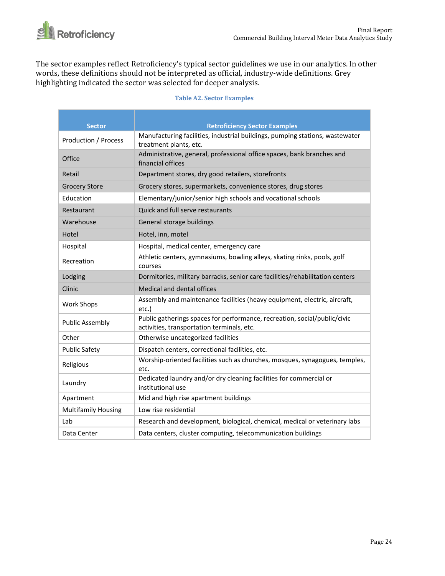

The sector examples reflect Retroficiency's typical sector guidelines we use in our analytics. In other words, these definitions should not be interpreted as official, industry-wide definitions. Grey highlighting indicated the sector was selected for deeper analysis.

| <b>Table A2. Sector Examples</b> |  |
|----------------------------------|--|
|----------------------------------|--|

| <b>Sector</b>               | <b>Retroficiency Sector Examples</b>                                                                                    |
|-----------------------------|-------------------------------------------------------------------------------------------------------------------------|
| <b>Production / Process</b> | Manufacturing facilities, industrial buildings, pumping stations, wastewater<br>treatment plants, etc.                  |
| Office                      | Administrative, general, professional office spaces, bank branches and<br>financial offices                             |
| Retail                      | Department stores, dry good retailers, storefronts                                                                      |
| <b>Grocery Store</b>        | Grocery stores, supermarkets, convenience stores, drug stores                                                           |
| Education                   | Elementary/junior/senior high schools and vocational schools                                                            |
| Restaurant                  | Quick and full serve restaurants                                                                                        |
| Warehouse                   | General storage buildings                                                                                               |
| Hotel                       | Hotel, inn, motel                                                                                                       |
| Hospital                    | Hospital, medical center, emergency care                                                                                |
| Recreation                  | Athletic centers, gymnasiums, bowling alleys, skating rinks, pools, golf<br>courses                                     |
| Lodging                     | Dormitories, military barracks, senior care facilities/rehabilitation centers                                           |
| Clinic                      | Medical and dental offices                                                                                              |
| <b>Work Shops</b>           | Assembly and maintenance facilities (heavy equipment, electric, aircraft,<br>etc.)                                      |
| <b>Public Assembly</b>      | Public gatherings spaces for performance, recreation, social/public/civic<br>activities, transportation terminals, etc. |
| Other                       | Otherwise uncategorized facilities                                                                                      |
| <b>Public Safety</b>        | Dispatch centers, correctional facilities, etc.                                                                         |
| Religious                   | Worship-oriented facilities such as churches, mosques, synagogues, temples,<br>etc.                                     |
| Laundry                     | Dedicated laundry and/or dry cleaning facilities for commercial or<br>institutional use                                 |
| Apartment                   | Mid and high rise apartment buildings                                                                                   |
| <b>Multifamily Housing</b>  | Low rise residential                                                                                                    |
| Lab                         | Research and development, biological, chemical, medical or veterinary labs                                              |
| Data Center                 | Data centers, cluster computing, telecommunication buildings                                                            |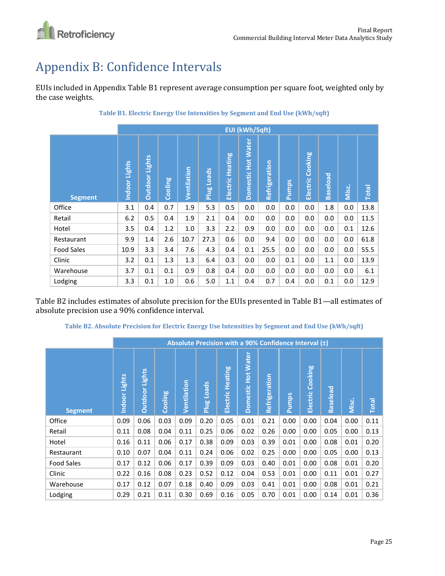

# <span id="page-24-0"></span>Appendix B: Confidence Intervals

EUIs included in Appendix Table B1 represent average consumption per square foot, weighted only by the case weights.

|                   |                  | <b>EUI (kWh/Sqft)</b> |         |                    |            |                     |                              |               |              |                     |                 |       |              |
|-------------------|------------------|-----------------------|---------|--------------------|------------|---------------------|------------------------------|---------------|--------------|---------------------|-----------------|-------|--------------|
| <b>Segment</b>    | Lights<br>Indoor | <b>Outdoor Lights</b> | Cooling | <b>Ventilation</b> | Plug Loads | Heating<br>Electric | <b>Water</b><br>Domestic Hot | Refrigeration | <b>Pumps</b> | Cooking<br>Electric | <b>Baseload</b> | Misc. | <b>Total</b> |
| Office            | 3.1              | 0.4                   | 0.7     | 1.9                | 5.3        | 0.5                 | 0.0                          | 0.0           | $0.0\,$      | 0.0                 | 1.8             | 0.0   | 13.8         |
| Retail            | 6.2              | 0.5                   | 0.4     | 1.9                | 2.1        | 0.4                 | 0.0                          | 0.0           | 0.0          | 0.0                 | 0.0             | 0.0   | 11.5         |
| Hotel             | 3.5              | 0.4                   | 1.2     | 1.0                | 3.3        | 2.2                 | 0.9                          | 0.0           | 0.0          | 0.0                 | 0.0             | 0.1   | 12.6         |
| Restaurant        | 9.9              | 1.4                   | 2.6     | 10.7               | 27.3       | 0.6                 | 0.0                          | 9.4           | 0.0          | 0.0                 | 0.0             | 0.0   | 61.8         |
| <b>Food Sales</b> | 10.9             | 3.3                   | 3.4     | 7.6                | 4.3        | 0.4                 | 0.1                          | 25.5          | $0.0\,$      | 0.0                 | 0.0             | 0.0   | 55.5         |
| Clinic            | 3.2              | 0.1                   | 1.3     | 1.3                | 6.4        | 0.3                 | 0.0                          | 0.0           | 0.1          | 0.0                 | 1.1             | 0.0   | 13.9         |
| Warehouse         | 3.7              | 0.1                   | 0.1     | 0.9                | 0.8        | 0.4                 | 0.0                          | 0.0           | 0.0          | 0.0                 | 0.0             | 0.0   | 6.1          |
| Lodging           | 3.3              | 0.1                   | 1.0     | 0.6                | 5.0        | 1.1                 | 0.4                          | 0.7           | 0.4          | 0.0                 | 0.1             | 0.0   | 12.9         |

**Table B1. Electric Energy Use Intensities by Segment and End Use (kWh/sqft)**

Table B2 includes estimates of absolute precision for the EUIs presented in Table B1—all estimates of absolute precision use a 90% confidence interval.

**Table B2. Absolute Precision for Electric Energy Use Intensities by Segment and End Use (kWh/sqft)**

|                   |                         |                          |         |             |            | Absolute Precision with a 90% Confidence Interval $(\pm)$ |                                        |               |              |                  |                 |       |              |
|-------------------|-------------------------|--------------------------|---------|-------------|------------|-----------------------------------------------------------|----------------------------------------|---------------|--------------|------------------|-----------------|-------|--------------|
| <b>Segment</b>    | Lights<br><b>Indoor</b> | Lights<br><b>Outdoor</b> | Cooling | Ventilation | Plug Loads | Electric Heating                                          | <b>Water</b><br>Hot<br><b>Domestic</b> | Refrigeration | <b>Pumps</b> | Electric Cooking | <b>Baseload</b> | Misc. | <b>Total</b> |
| Office            | 0.09                    | 0.06                     | 0.03    | 0.09        | 0.20       | 0.05                                                      | 0.01                                   | 0.21          | 0.00         | 0.00             | 0.04            | 0.00  | 0.11         |
| Retail            | 0.11                    | 0.08                     | 0.04    | 0.11        | 0.25       | 0.06                                                      | 0.02                                   | 0.26          | 0.00         | 0.00             | 0.05            | 0.00  | 0.13         |
| Hotel             | 0.16                    | 0.11                     | 0.06    | 0.17        | 0.38       | 0.09                                                      | 0.03                                   | 0.39          | 0.01         | 0.00             | 0.08            | 0.01  | 0.20         |
| Restaurant        | 0.10                    | 0.07                     | 0.04    | 0.11        | 0.24       | 0.06                                                      | 0.02                                   | 0.25          | 0.00         | 0.00             | 0.05            | 0.00  | 0.13         |
| <b>Food Sales</b> | 0.17                    | 0.12                     | 0.06    | 0.17        | 0.39       | 0.09                                                      | 0.03                                   | 0.40          | 0.01         | 0.00             | 0.08            | 0.01  | 0.20         |
| Clinic            | 0.22                    | 0.16                     | 0.08    | 0.23        | 0.52       | 0.12                                                      | 0.04                                   | 0.53          | 0.01         | 0.00             | 0.11            | 0.01  | 0.27         |
| Warehouse         | 0.17                    | 0.12                     | 0.07    | 0.18        | 0.40       | 0.09                                                      | 0.03                                   | 0.41          | 0.01         | 0.00             | 0.08            | 0.01  | 0.21         |
| Lodging           | 0.29                    | 0.21                     | 0.11    | 0.30        | 0.69       | 0.16                                                      | 0.05                                   | 0.70          | 0.01         | 0.00             | 0.14            | 0.01  | 0.36         |